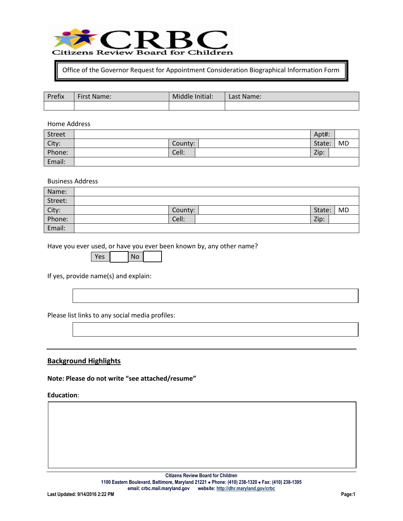

Office of the Governor Request for Appointment Consideration Biographical Information Form

| <sup>o</sup> refix | <b>First Name:</b> | Middle Initial: | Last Name: |
|--------------------|--------------------|-----------------|------------|
|                    |                    |                 |            |

Home Address

| Street |         | Apt#:  |           |
|--------|---------|--------|-----------|
| City:  | County: | State: | <b>MD</b> |
| Phone: | Cell:   | Zip:   |           |
| Email: |         |        |           |

Business Address

| Name:           |         |        |    |
|-----------------|---------|--------|----|
| Street:         |         |        |    |
| City:<br>Phone: | County: | State: | MD |
|                 | Cell:   | Zip:   |    |
| Email:          |         |        |    |

Have you ever used, or have you ever been known by, any other name?

If yes, provide name(s) and explain:

Please list links to any social media profiles:

## **Background Highlights**

**Note: Please do not write "see attached/resume"**

#### **Education**: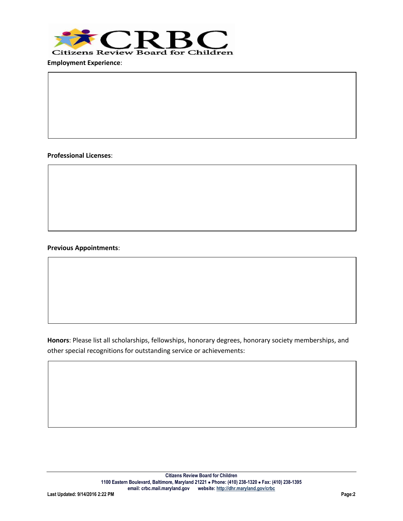

**Employment Experience**:

#### **Professional Licenses**:

Professional Licenses:

Professional Licenses:

Previous Appointments:

### **Previous Appointments**:

Professional Licenses:

Previous Appointments:

Previous Appointments:

**Honors**: Please list all scholarships, fellowships, honorary degrees, honorary society memberships, and other special recognitions for outstanding service or achievements: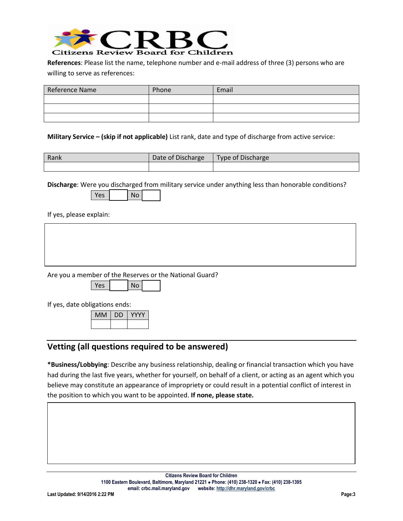

**References**: Please list the name, telephone number and e-mail address of three (3) persons who are willing to serve as references:

| Reference Name | Phone | Email |
|----------------|-------|-------|
|                |       |       |
|                |       |       |
|                |       |       |

**Military Service – (skip if not applicable)** List rank, date and type of discharge from active service:

| Rank | Date of Discharge | <b>Type of Discharge</b> |
|------|-------------------|--------------------------|
|      |                   |                          |

**Discharge**: Were you discharged from military service under anything less than honorable conditions?

| Voc | Nc |  |
|-----|----|--|
|     |    |  |

If yes, please explain:

Are you a member of the Reserves or the National Guard?

 $Yes | No |$ 

If yes, date obligations ends:

| МM | υD |  |
|----|----|--|
|    |    |  |

# **Vetting (all questions required to be answered)**

**\*Business/Lobbying**: Describe any business relationship, dealing or financial transaction which you have had during the last five years, whether for yourself, on behalf of a client, or acting as an agent which you believe may constitute an appearance of impropriety or could result in a potential conflict of interest in the position to which you want to be appointed. **If none, please state.**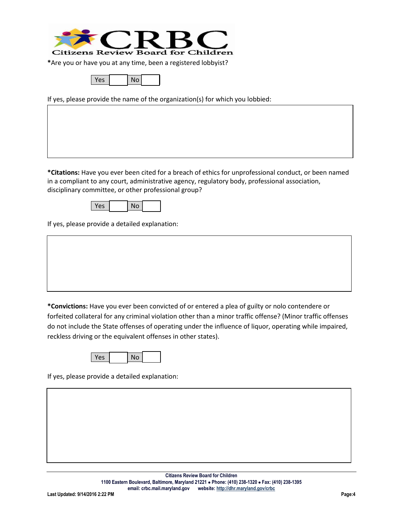

**\***Are you or have you at any time, been a registered lobbyist?

| v.<br>$\sim$ | No |  |
|--------------|----|--|
|              |    |  |

If yes, please provide the name of the organization(s) for which you lobbied:

**\*Citations:** Have you ever been cited for a breach of ethics for unprofessional conduct, or been named in a compliant to any court, administrative agency, regulatory body, professional association, disciplinary committee, or other professional group?

 $Yes \mid No \mid$ 

If yes, please provide a detailed explanation:

**\*Convictions:** Have you ever been convicted of or entered a plea of guilty or nolo contendere or forfeited collateral for any criminal violation other than a minor traffic offense? (Minor traffic offenses do not include the State offenses of operating under the influence of liquor, operating while impaired, reckless driving or the equivalent offenses in other states).

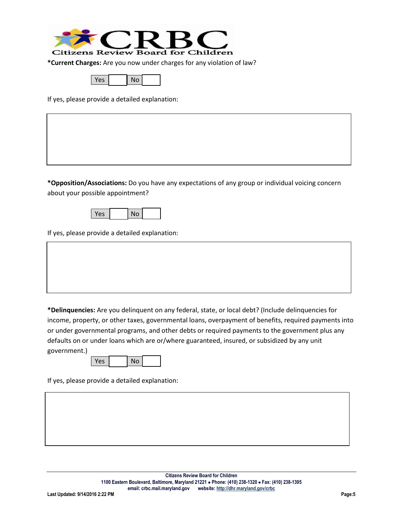

**\*Current Charges:** Are you now under charges for any violation of law?

| $V_{\Omega}$ | No. |  |
|--------------|-----|--|
|              |     |  |

If yes, please provide a detailed explanation:

**\*Opposition/Associations:** Do you have any expectations of any group or individual voicing concern about your possible appointment?



If yes, please provide a detailed explanation:

**\*Delinquencies:** Are you delinquent on any federal, state, or local debt? (Include delinquencies for income, property, or other taxes, governmental loans, overpayment of benefits, required payments into or under governmental programs, and other debts or required payments to the government plus any defaults on or under loans which are or/where guaranteed, insured, or subsidized by any unit government.)

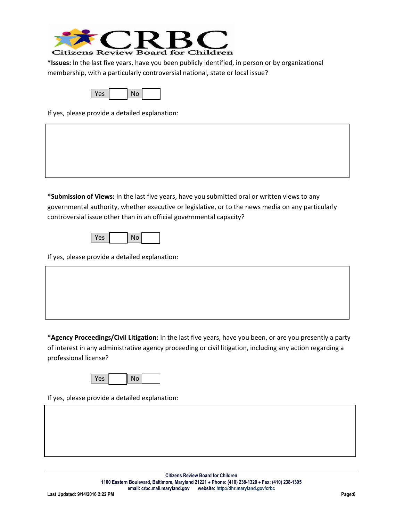

**\*Issues:** In the last five years, have you been publicly identified, in person or by organizational membership, with a particularly controversial national, state or local issue?



If yes, please provide a detailed explanation:

**\*Submission of Views:** In the last five years, have you submitted oral or written views to any governmental authority, whether executive or legislative, or to the news media on any particularly controversial issue other than in an official governmental capacity?

| Υρς | No |  |
|-----|----|--|
|     |    |  |

If yes, please provide a detailed explanation:

**\*Agency Proceedings/Civil Litigation:** In the last five years, have you been, or are you presently a party of interest in any administrative agency proceeding or civil litigation, including any action regarding a professional license?

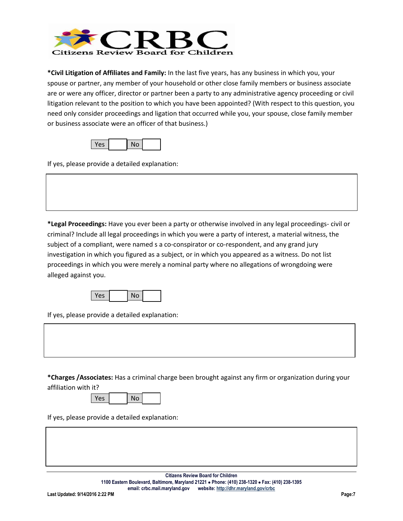

**\*Civil Litigation of Affiliates and Family:** In the last five years, has any business in which you, your spouse or partner, any member of your household or other close family members or business associate are or were any officer, director or partner been a party to any administrative agency proceeding or civil litigation relevant to the position to which you have been appointed? (With respect to this question, you need only consider proceedings and ligation that occurred while you, your spouse, close family member or business associate were an officer of that business.)

If yes, please provide a detailed explanation:

**\*Legal Proceedings:** Have you ever been a party or otherwise involved in any legal proceedings- civil or criminal? Include all legal proceedings in which you were a party of interest, a material witness, the subject of a compliant, were named s a co-conspirator or co-respondent, and any grand jury investigation in which you figured as a subject, or in which you appeared as a witness. Do not list proceedings in which you were merely a nominal party where no allegations of wrongdoing were alleged against you.



If yes, please provide a detailed explanation:

**\*Charges /Associates:** Has a criminal charge been brought against any firm or organization during your affiliation with it?

| <b>Yes</b> | No |  |
|------------|----|--|
|------------|----|--|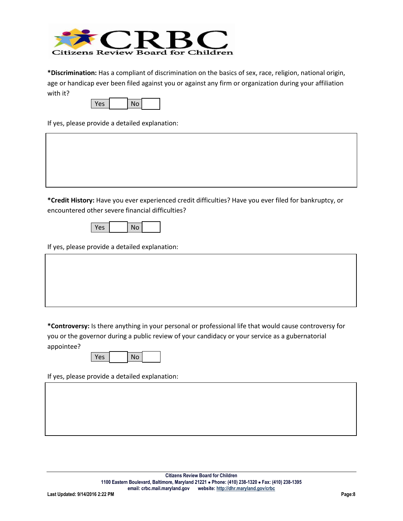

**\*Discrimination:** Has a compliant of discrimination on the basics of sex, race, religion, national origin, age or handicap ever been filed against you or against any firm or organization during your affiliation with it?

| $V_{\Omega}$ | No |  |
|--------------|----|--|
|              |    |  |

If yes, please provide a detailed explanation:

**\*Credit History:** Have you ever experienced credit difficulties? Have you ever filed for bankruptcy, or encountered other severe financial difficulties?



If yes, please provide a detailed explanation:

**\*Controversy:** Is there anything in your personal or professional life that would cause controversy for you or the governor during a public review of your candidacy or your service as a gubernatorial appointee?

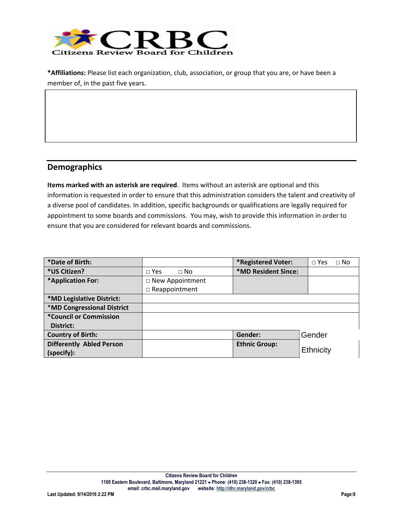

**\*Affiliations:** Please list each organization, club, association, or group that you are, or have been a member of, in the past five years.

## **Demographics**

**Items marked with an asterisk are required**. Items without an asterisk are optional and this information is requested in order to ensure that this administration considers the talent and creativity of a diverse pool of candidates. In addition, specific backgrounds or qualifications are legally required for appointment to some boards and commissions. You may, wish to provide this information in order to ensure that you are considered for relevant boards and commissions.

| *Date of Birth:                   |                           | *Registered Voter:   | $\Box$ Yes<br>$\Box$ No |
|-----------------------------------|---------------------------|----------------------|-------------------------|
| *US Citizen?                      | $\Box$ Yes<br>$\sqcap$ No | *MD Resident Since:  |                         |
| *Application For:                 | $\Box$ New Appointment    |                      |                         |
|                                   | $\Box$ Reappointment      |                      |                         |
| *MD Legislative District:         |                           |                      |                         |
| <b>*MD Congressional District</b> |                           |                      |                         |
| *Council or Commission            |                           |                      |                         |
| District:                         |                           |                      |                         |
| <b>Country of Birth:</b>          |                           | Gender:              | Gender                  |
| <b>Differently Abled Person</b>   |                           | <b>Ethnic Group:</b> |                         |
| (specify):                        |                           |                      | Ethnicity               |